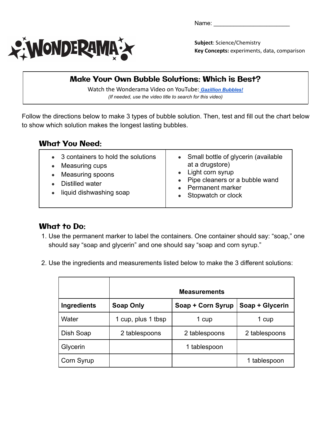Name:



**Subject**: Science/Chemistry **Key Concepts:** experiments, data, comparison

## Make Your Own Bubble Solutions: Which is Best?

Watch the Wonderama Video on YouTube: *[Gazillion Bubbles!](https://www.youtube.com/watch?v=-zyaZoxSMIA) (If needed, use the video title to search for this video)*

Follow the directions below to make 3 types of bubble solution. Then, test and fill out the chart below to show which solution makes the longest lasting bubbles.

## What You Need:

|  | • 3 containers to hold the solutions<br>Measuring cups<br>Measuring spoons<br>Distilled water<br>liquid dishwashing soap | • Small bottle of glycerin (available<br>at a drugstore)<br>• Light corn syrup<br>• Pipe cleaners or a bubble wand<br>• Permanent marker<br>• Stopwatch or clock |
|--|--------------------------------------------------------------------------------------------------------------------------|------------------------------------------------------------------------------------------------------------------------------------------------------------------|
|--|--------------------------------------------------------------------------------------------------------------------------|------------------------------------------------------------------------------------------------------------------------------------------------------------------|

## What to Do:

- 1. Use the permanent marker to label the containers. One container should say: "soap," one should say "soap and glycerin" and one should say "soap and corn syrup."
- 2. Use the ingredients and measurements listed below to make the 3 different solutions:

|             |                  | <b>Measurements</b> |                 |
|-------------|------------------|---------------------|-----------------|
| Ingredients | <b>Soap Only</b> | Soap + Corn Syrup   | Soap + Glycerin |
| Water       | cup, plus 1 tbsp | 1 cup               | 1 cup           |
| Dish Soap   | 2 tablespoons    | 2 tablespoons       | 2 tablespoons   |
| Glycerin    |                  | 1 tablespoon        |                 |
| Corn Syrup  |                  |                     | 1 tablespoon    |